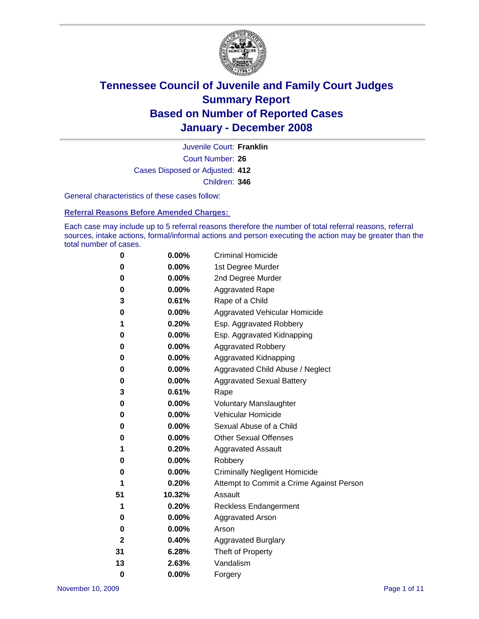

Court Number: **26** Juvenile Court: **Franklin** Cases Disposed or Adjusted: **412** Children: **346**

General characteristics of these cases follow:

**Referral Reasons Before Amended Charges:** 

Each case may include up to 5 referral reasons therefore the number of total referral reasons, referral sources, intake actions, formal/informal actions and person executing the action may be greater than the total number of cases.

| 0        | 0.00%    | <b>Criminal Homicide</b>                 |  |  |
|----------|----------|------------------------------------------|--|--|
| 0        | 0.00%    | 1st Degree Murder                        |  |  |
| 0        | 0.00%    | 2nd Degree Murder                        |  |  |
| 0        | 0.00%    | <b>Aggravated Rape</b>                   |  |  |
| 3        | 0.61%    | Rape of a Child                          |  |  |
| 0        | 0.00%    | Aggravated Vehicular Homicide            |  |  |
| 1        | 0.20%    | Esp. Aggravated Robbery                  |  |  |
| 0        | 0.00%    | Esp. Aggravated Kidnapping               |  |  |
| 0        | 0.00%    | <b>Aggravated Robbery</b>                |  |  |
| 0        | 0.00%    | Aggravated Kidnapping                    |  |  |
| 0        | 0.00%    | Aggravated Child Abuse / Neglect         |  |  |
| 0        | 0.00%    | <b>Aggravated Sexual Battery</b>         |  |  |
| 3        | 0.61%    | Rape                                     |  |  |
| 0        | 0.00%    | <b>Voluntary Manslaughter</b>            |  |  |
| 0        | 0.00%    | Vehicular Homicide                       |  |  |
| 0        | $0.00\%$ | Sexual Abuse of a Child                  |  |  |
| 0        | 0.00%    | <b>Other Sexual Offenses</b>             |  |  |
| 1        | 0.20%    | <b>Aggravated Assault</b>                |  |  |
| 0        | 0.00%    | Robbery                                  |  |  |
| 0        | $0.00\%$ | <b>Criminally Negligent Homicide</b>     |  |  |
| 1        | 0.20%    | Attempt to Commit a Crime Against Person |  |  |
| 51       | 10.32%   | Assault                                  |  |  |
| 1        | 0.20%    | Reckless Endangerment                    |  |  |
| 0        | $0.00\%$ | <b>Aggravated Arson</b>                  |  |  |
| 0        | 0.00%    | Arson                                    |  |  |
| 2        | 0.40%    | <b>Aggravated Burglary</b>               |  |  |
| 31       | 6.28%    | Theft of Property                        |  |  |
| 13       | 2.63%    | Vandalism                                |  |  |
| $\bf{0}$ | 0.00%    | Forgery                                  |  |  |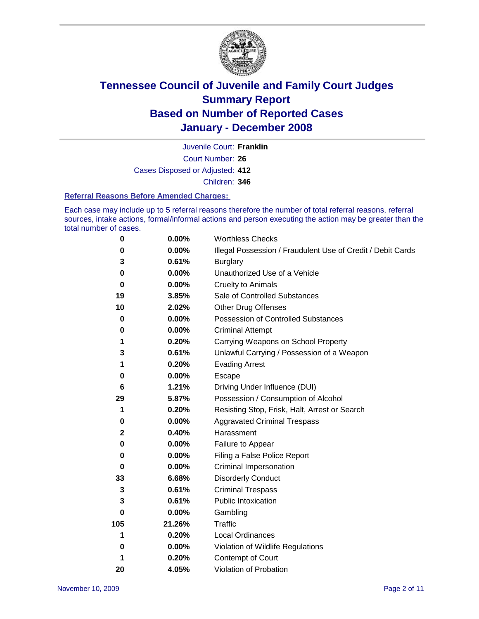

Court Number: **26** Juvenile Court: **Franklin** Cases Disposed or Adjusted: **412** Children: **346**

#### **Referral Reasons Before Amended Charges:**

Each case may include up to 5 referral reasons therefore the number of total referral reasons, referral sources, intake actions, formal/informal actions and person executing the action may be greater than the total number of cases.

| 0           | 0.00%    | <b>Worthless Checks</b>                                     |
|-------------|----------|-------------------------------------------------------------|
| 0           | 0.00%    | Illegal Possession / Fraudulent Use of Credit / Debit Cards |
| 3           | 0.61%    | <b>Burglary</b>                                             |
| 0           | $0.00\%$ | Unauthorized Use of a Vehicle                               |
| $\bf{0}$    | 0.00%    | <b>Cruelty to Animals</b>                                   |
| 19          | 3.85%    | Sale of Controlled Substances                               |
| 10          | 2.02%    | <b>Other Drug Offenses</b>                                  |
| 0           | $0.00\%$ | Possession of Controlled Substances                         |
| 0           | 0.00%    | <b>Criminal Attempt</b>                                     |
| 1           | 0.20%    | Carrying Weapons on School Property                         |
| 3           | 0.61%    | Unlawful Carrying / Possession of a Weapon                  |
| 1           | 0.20%    | <b>Evading Arrest</b>                                       |
| 0           | 0.00%    | Escape                                                      |
| 6           | 1.21%    | Driving Under Influence (DUI)                               |
| 29          | 5.87%    | Possession / Consumption of Alcohol                         |
| 1           | 0.20%    | Resisting Stop, Frisk, Halt, Arrest or Search               |
| 0           | $0.00\%$ | <b>Aggravated Criminal Trespass</b>                         |
| $\mathbf 2$ | 0.40%    | Harassment                                                  |
| 0           | 0.00%    | Failure to Appear                                           |
| 0           | 0.00%    | Filing a False Police Report                                |
| 0           | 0.00%    | Criminal Impersonation                                      |
| 33          | 6.68%    | <b>Disorderly Conduct</b>                                   |
| 3           | 0.61%    | <b>Criminal Trespass</b>                                    |
| 3           | 0.61%    | <b>Public Intoxication</b>                                  |
| 0           | 0.00%    | Gambling                                                    |
| 105         | 21.26%   | Traffic                                                     |
| 1           | 0.20%    | <b>Local Ordinances</b>                                     |
| 0           | $0.00\%$ | Violation of Wildlife Regulations                           |
| 1           | 0.20%    | Contempt of Court                                           |
| 20          | 4.05%    | Violation of Probation                                      |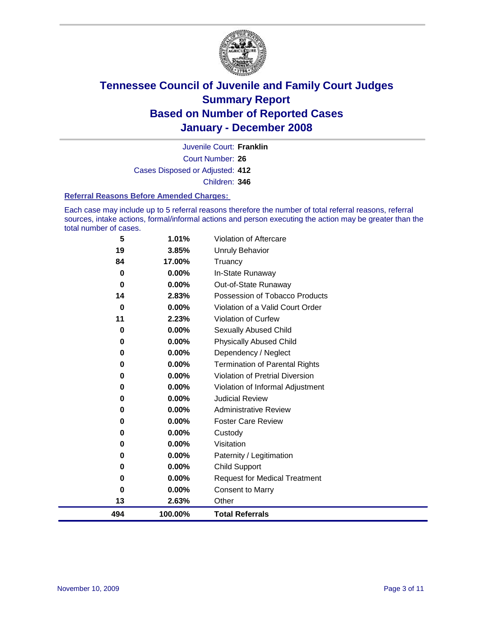

Court Number: **26** Juvenile Court: **Franklin** Cases Disposed or Adjusted: **412** Children: **346**

#### **Referral Reasons Before Amended Charges:**

Each case may include up to 5 referral reasons therefore the number of total referral reasons, referral sources, intake actions, formal/informal actions and person executing the action may be greater than the total number of cases.

| 5           | 1.01%    | Violation of Aftercare                 |
|-------------|----------|----------------------------------------|
| 19          | 3.85%    | Unruly Behavior                        |
| 84          | 17.00%   | Truancy                                |
| $\bf{0}$    | 0.00%    | In-State Runaway                       |
| 0           | 0.00%    | Out-of-State Runaway                   |
| 14          | 2.83%    | Possession of Tobacco Products         |
| $\mathbf 0$ | 0.00%    | Violation of a Valid Court Order       |
| 11          | 2.23%    | <b>Violation of Curfew</b>             |
| 0           | 0.00%    | Sexually Abused Child                  |
| 0           | 0.00%    | <b>Physically Abused Child</b>         |
| 0           | 0.00%    | Dependency / Neglect                   |
| 0           | 0.00%    | <b>Termination of Parental Rights</b>  |
| 0           | 0.00%    | <b>Violation of Pretrial Diversion</b> |
| 0           | 0.00%    | Violation of Informal Adjustment       |
| 0           | 0.00%    | <b>Judicial Review</b>                 |
| 0           | 0.00%    | <b>Administrative Review</b>           |
| 0           | $0.00\%$ | <b>Foster Care Review</b>              |
| 0           | 0.00%    | Custody                                |
| 0           | 0.00%    | Visitation                             |
| 0           | 0.00%    | Paternity / Legitimation               |
| 0           | 0.00%    | <b>Child Support</b>                   |
| 0           | 0.00%    | <b>Request for Medical Treatment</b>   |
| $\bf{0}$    | 0.00%    | <b>Consent to Marry</b>                |
| 13          | 2.63%    | Other                                  |
| 494         | 100.00%  | <b>Total Referrals</b>                 |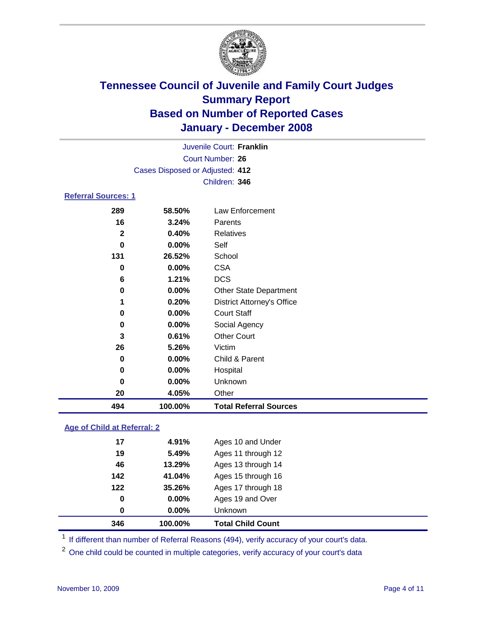

|                            |                                 | Juvenile Court: Franklin |  |
|----------------------------|---------------------------------|--------------------------|--|
|                            |                                 | Court Number: 26         |  |
|                            | Cases Disposed or Adjusted: 412 |                          |  |
|                            |                                 | Children: 346            |  |
| <b>Referral Sources: 1</b> |                                 |                          |  |
| 289                        | 58.50%                          | Law Enforcement          |  |
| 16                         | 3.24%                           | Parents                  |  |

| 494          | 100.00%  | <b>Total Referral Sources</b>     |
|--------------|----------|-----------------------------------|
| 20           | 4.05%    | Other                             |
| 0            | 0.00%    | <b>Unknown</b>                    |
| 0            | 0.00%    | Hospital                          |
| 0            | $0.00\%$ | Child & Parent                    |
| 26           | 5.26%    | Victim                            |
| 3            | 0.61%    | <b>Other Court</b>                |
| 0            | 0.00%    | Social Agency                     |
| 0            | $0.00\%$ | <b>Court Staff</b>                |
| 1            | 0.20%    | <b>District Attorney's Office</b> |
| 0            | 0.00%    | <b>Other State Department</b>     |
| 6            | 1.21%    | <b>DCS</b>                        |
| 0            | 0.00%    | <b>CSA</b>                        |
| 131          | 26.52%   | School                            |
| 0            | 0.00%    | Self                              |
| $\mathbf{2}$ | 0.40%    | Relatives                         |
| 16           | 3.24%    | Parents                           |

#### **Age of Child at Referral: 2**

| 346         | 100.00% | <b>Total Child Count</b> |
|-------------|---------|--------------------------|
| 0           | 0.00%   | <b>Unknown</b>           |
| $\mathbf 0$ | 0.00%   | Ages 19 and Over         |
| 122         | 35.26%  | Ages 17 through 18       |
| 142         | 41.04%  | Ages 15 through 16       |
| 46          | 13.29%  | Ages 13 through 14       |
| 19          | 5.49%   | Ages 11 through 12       |
| 17          | 4.91%   | Ages 10 and Under        |
|             |         |                          |

<sup>1</sup> If different than number of Referral Reasons (494), verify accuracy of your court's data.

One child could be counted in multiple categories, verify accuracy of your court's data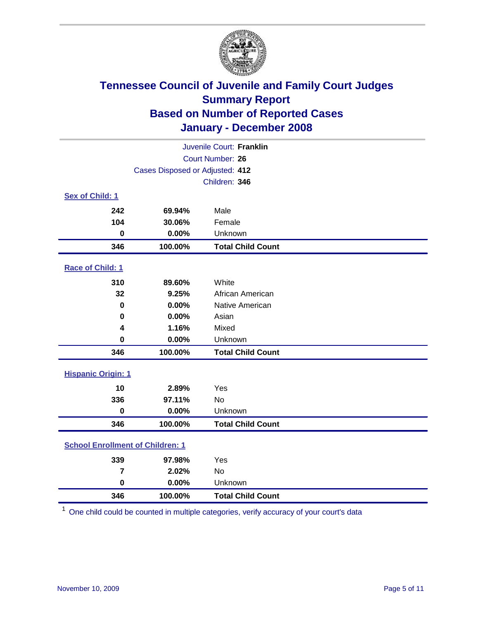

| Juvenile Court: Franklin                |                                 |                          |  |  |  |
|-----------------------------------------|---------------------------------|--------------------------|--|--|--|
|                                         | Court Number: 26                |                          |  |  |  |
|                                         | Cases Disposed or Adjusted: 412 |                          |  |  |  |
|                                         |                                 | Children: 346            |  |  |  |
| Sex of Child: 1                         |                                 |                          |  |  |  |
| 242                                     | 69.94%                          | Male                     |  |  |  |
| 104                                     | 30.06%                          | Female                   |  |  |  |
| $\bf{0}$                                | 0.00%                           | Unknown                  |  |  |  |
| 346                                     | 100.00%                         | <b>Total Child Count</b> |  |  |  |
| <b>Race of Child: 1</b>                 |                                 |                          |  |  |  |
| 310                                     | 89.60%                          | White                    |  |  |  |
| 32                                      | 9.25%                           | African American         |  |  |  |
| $\bf{0}$                                | 0.00%                           | Native American          |  |  |  |
| 0                                       | 0.00%                           | Asian                    |  |  |  |
| 4                                       | 1.16%                           | Mixed                    |  |  |  |
| $\bf{0}$                                | 0.00%                           | Unknown                  |  |  |  |
| 346                                     | 100.00%                         | <b>Total Child Count</b> |  |  |  |
| <b>Hispanic Origin: 1</b>               |                                 |                          |  |  |  |
| 10                                      | 2.89%                           | Yes                      |  |  |  |
| 336                                     | 97.11%                          | <b>No</b>                |  |  |  |
| 0                                       | 0.00%                           | Unknown                  |  |  |  |
| 346                                     | 100.00%                         | <b>Total Child Count</b> |  |  |  |
| <b>School Enrollment of Children: 1</b> |                                 |                          |  |  |  |
| 339                                     | 97.98%                          | Yes                      |  |  |  |
| $\overline{7}$                          | 2.02%                           | No                       |  |  |  |
| $\mathbf 0$                             | 0.00%                           | Unknown                  |  |  |  |
| 346                                     | 100.00%                         | <b>Total Child Count</b> |  |  |  |

One child could be counted in multiple categories, verify accuracy of your court's data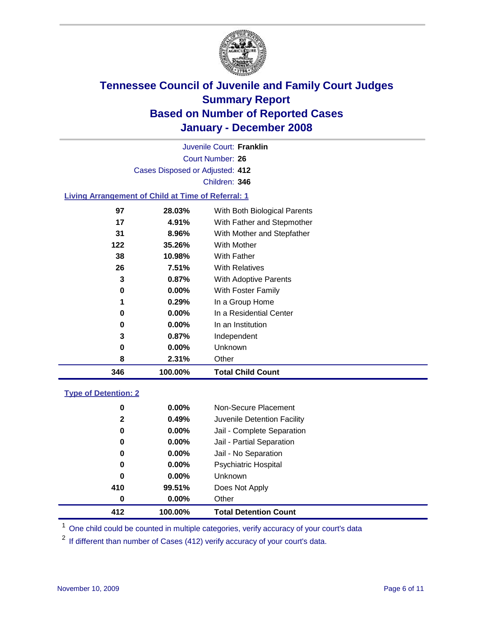

Court Number: **26** Juvenile Court: **Franklin** Cases Disposed or Adjusted: **412** Children: **346**

### **Living Arrangement of Child at Time of Referral: 1**

| 346 | 100.00%  | <b>Total Child Count</b>     |
|-----|----------|------------------------------|
| 8   | 2.31%    | Other                        |
| 0   | $0.00\%$ | Unknown                      |
| 3   | 0.87%    | Independent                  |
| 0   | $0.00\%$ | In an Institution            |
| 0   | $0.00\%$ | In a Residential Center      |
| 1   | 0.29%    | In a Group Home              |
| 0   | $0.00\%$ | With Foster Family           |
| 3   | 0.87%    | <b>With Adoptive Parents</b> |
| 26  | 7.51%    | <b>With Relatives</b>        |
| 38  | 10.98%   | With Father                  |
| 122 | 35.26%   | With Mother                  |
| 31  | 8.96%    | With Mother and Stepfather   |
| 17  | 4.91%    | With Father and Stepmother   |
| 97  | 28.03%   | With Both Biological Parents |
|     |          |                              |

#### **Type of Detention: 2**

| 412 | 100.00%               | <b>Total Detention Count</b> |  |
|-----|-----------------------|------------------------------|--|
| 0   | 0.00%                 | Other                        |  |
| 410 | 99.51%                | Does Not Apply               |  |
| 0   | $0.00\%$              | <b>Unknown</b>               |  |
| 0   | $0.00\%$              | <b>Psychiatric Hospital</b>  |  |
| 0   | $0.00\%$              | Jail - No Separation         |  |
| 0   | $0.00\%$              | Jail - Partial Separation    |  |
| 0   | $0.00\%$              | Jail - Complete Separation   |  |
|     | 0.49%<br>$\mathbf{2}$ | Juvenile Detention Facility  |  |
| 0   | $0.00\%$              | Non-Secure Placement         |  |
|     |                       |                              |  |

<sup>1</sup> One child could be counted in multiple categories, verify accuracy of your court's data

<sup>2</sup> If different than number of Cases (412) verify accuracy of your court's data.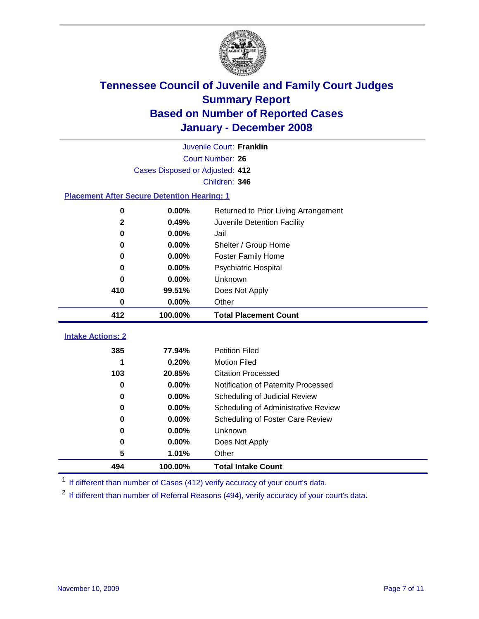

|                                                    | Juvenile Court: Franklin        |                                      |  |  |  |
|----------------------------------------------------|---------------------------------|--------------------------------------|--|--|--|
|                                                    | Court Number: 26                |                                      |  |  |  |
|                                                    | Cases Disposed or Adjusted: 412 |                                      |  |  |  |
|                                                    |                                 | Children: 346                        |  |  |  |
| <b>Placement After Secure Detention Hearing: 1</b> |                                 |                                      |  |  |  |
| 0                                                  | 0.00%                           | Returned to Prior Living Arrangement |  |  |  |
| $\mathbf 2$                                        | 0.49%                           | Juvenile Detention Facility          |  |  |  |
| $\mathbf 0$                                        | 0.00%                           | Jail                                 |  |  |  |
| $\bf{0}$                                           | 0.00%                           | Shelter / Group Home                 |  |  |  |
| 0                                                  | 0.00%                           | <b>Foster Family Home</b>            |  |  |  |
| 0                                                  | 0.00%                           | Psychiatric Hospital                 |  |  |  |
| 0                                                  | 0.00%                           | Unknown                              |  |  |  |
| 410                                                | 99.51%                          | Does Not Apply                       |  |  |  |
| $\bf{0}$                                           | 0.00%                           | Other                                |  |  |  |
| 412                                                | 100.00%                         | <b>Total Placement Count</b>         |  |  |  |
| <b>Intake Actions: 2</b>                           |                                 |                                      |  |  |  |
|                                                    |                                 |                                      |  |  |  |
| 385                                                | 77.94%                          | <b>Petition Filed</b>                |  |  |  |
| 1                                                  | 0.20%                           | <b>Motion Filed</b>                  |  |  |  |
| 103                                                | 20.85%                          | <b>Citation Processed</b>            |  |  |  |
| $\bf{0}$                                           | 0.00%                           | Notification of Paternity Processed  |  |  |  |
| $\bf{0}$                                           | 0.00%                           | Scheduling of Judicial Review        |  |  |  |
| 0                                                  | 0.00%                           | Scheduling of Administrative Review  |  |  |  |
| 0                                                  | 0.00%                           | Scheduling of Foster Care Review     |  |  |  |
| $\bf{0}$                                           | 0.00%                           | Unknown                              |  |  |  |
| 0                                                  | 0.00%                           | Does Not Apply                       |  |  |  |
| 5                                                  | 1.01%                           | Other                                |  |  |  |
| 494                                                | 100.00%                         | <b>Total Intake Count</b>            |  |  |  |

<sup>1</sup> If different than number of Cases (412) verify accuracy of your court's data.

<sup>2</sup> If different than number of Referral Reasons (494), verify accuracy of your court's data.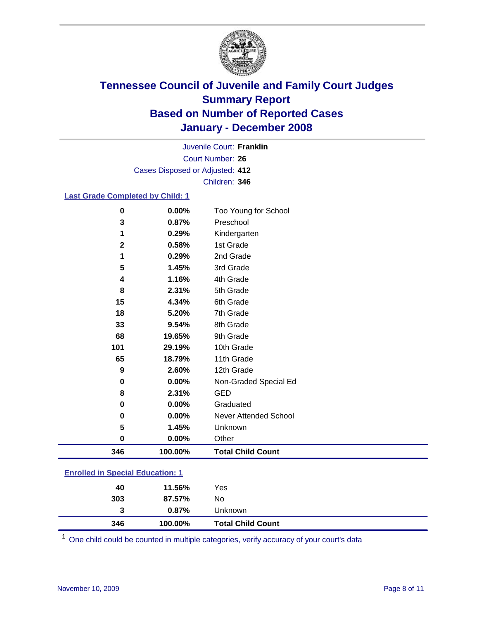

Court Number: **26** Juvenile Court: **Franklin** Cases Disposed or Adjusted: **412** Children: **346**

#### **Last Grade Completed by Child: 1**

| 3<br>1      | 0.87%<br>0.29% | Preschool<br>Kindergarten |
|-------------|----------------|---------------------------|
|             |                |                           |
|             |                |                           |
| $\mathbf 2$ | 0.58%          | 1st Grade                 |
| 1           | 0.29%          | 2nd Grade                 |
| 5           | 1.45%          | 3rd Grade                 |
| 4           | 1.16%          | 4th Grade                 |
| 8           | 2.31%          | 5th Grade                 |
| 15          | 4.34%          | 6th Grade                 |
| 18          | 5.20%          | 7th Grade                 |
| 33          | 9.54%          | 8th Grade                 |
| 68          | 19.65%         | 9th Grade                 |
| 101         | 29.19%         | 10th Grade                |
| 65          | 18.79%         | 11th Grade                |
| 9           | 2.60%          | 12th Grade                |
| $\mathbf 0$ | 0.00%          | Non-Graded Special Ed     |
| 8           | 2.31%          | <b>GED</b>                |
| 0           | 0.00%          | Graduated                 |
| 0           | 0.00%          | Never Attended School     |
| 5           | 1.45%          | Unknown                   |
| 0           | 0.00%          | Other                     |
| 346         | 100.00%        | <b>Total Child Count</b>  |

### **Enrolled in Special Education: 1**

| 346 | 100.00% | <b>Total Child Count</b> |
|-----|---------|--------------------------|
| 3   | 0.87%   | Unknown                  |
| 303 | 87.57%  | No                       |
| 40  | 11.56%  | Yes                      |

<sup>1</sup> One child could be counted in multiple categories, verify accuracy of your court's data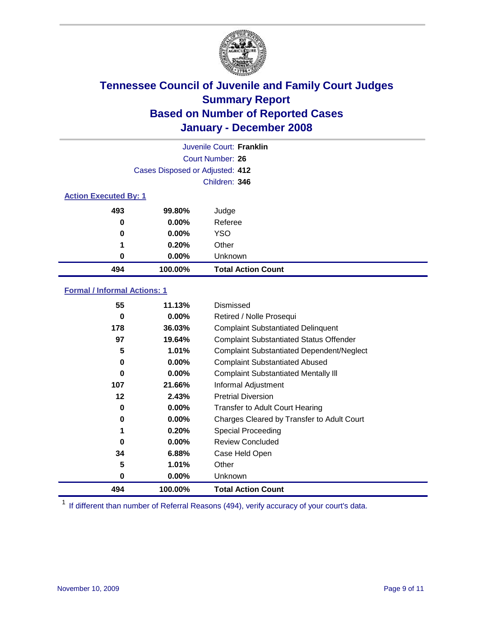

|                              |                                 | Juvenile Court: Franklin  |
|------------------------------|---------------------------------|---------------------------|
|                              |                                 | Court Number: 26          |
|                              | Cases Disposed or Adjusted: 412 |                           |
|                              |                                 | Children: 346             |
| <b>Action Executed By: 1</b> |                                 |                           |
| 493                          | 99.80%                          | Judge                     |
| 0                            | $0.00\%$                        | Referee                   |
| 0                            | $0.00\%$                        | <b>YSO</b>                |
| 1                            | 0.20%                           | Other                     |
| 0                            | $0.00\%$                        | Unknown                   |
| 494                          | 100.00%                         | <b>Total Action Count</b> |

#### **Formal / Informal Actions: 1**

| 55  | 11.13%   | <b>Dismissed</b>                                 |
|-----|----------|--------------------------------------------------|
| 0   | 0.00%    | Retired / Nolle Prosequi                         |
| 178 | 36.03%   | <b>Complaint Substantiated Delinquent</b>        |
| 97  | 19.64%   | <b>Complaint Substantiated Status Offender</b>   |
| 5   | 1.01%    | <b>Complaint Substantiated Dependent/Neglect</b> |
| 0   | 0.00%    | <b>Complaint Substantiated Abused</b>            |
| 0   | $0.00\%$ | <b>Complaint Substantiated Mentally III</b>      |
| 107 | 21.66%   | Informal Adjustment                              |
| 12  | 2.43%    | <b>Pretrial Diversion</b>                        |
| 0   | 0.00%    | <b>Transfer to Adult Court Hearing</b>           |
| 0   | $0.00\%$ | Charges Cleared by Transfer to Adult Court       |
| 1   | 0.20%    | Special Proceeding                               |
| 0   | 0.00%    | <b>Review Concluded</b>                          |
| 34  | 6.88%    | Case Held Open                                   |
| 5   | $1.01\%$ | Other                                            |
| 0   | 0.00%    | <b>Unknown</b>                                   |
| 494 | 100.00%  | <b>Total Action Count</b>                        |

<sup>1</sup> If different than number of Referral Reasons (494), verify accuracy of your court's data.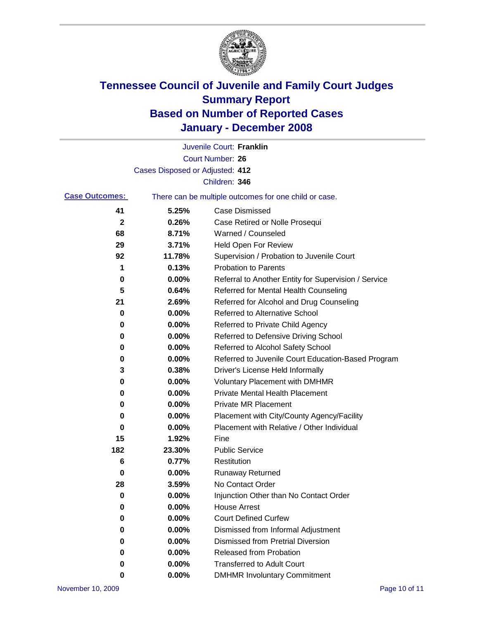

|                       |                                 | Juvenile Court: Franklin                              |
|-----------------------|---------------------------------|-------------------------------------------------------|
|                       |                                 | Court Number: 26                                      |
|                       | Cases Disposed or Adjusted: 412 |                                                       |
|                       |                                 | Children: 346                                         |
| <b>Case Outcomes:</b> |                                 | There can be multiple outcomes for one child or case. |
| 41                    | 5.25%                           | <b>Case Dismissed</b>                                 |
| $\mathbf{2}$          | 0.26%                           | Case Retired or Nolle Prosequi                        |
| 68                    | 8.71%                           | Warned / Counseled                                    |
| 29                    | 3.71%                           | <b>Held Open For Review</b>                           |
| 92                    | 11.78%                          | Supervision / Probation to Juvenile Court             |
| 1                     | 0.13%                           | <b>Probation to Parents</b>                           |
| 0                     | 0.00%                           | Referral to Another Entity for Supervision / Service  |
| 5                     | 0.64%                           | Referred for Mental Health Counseling                 |
| 21                    | 2.69%                           | Referred for Alcohol and Drug Counseling              |
| 0                     | 0.00%                           | <b>Referred to Alternative School</b>                 |
| 0                     | 0.00%                           | Referred to Private Child Agency                      |
| 0                     | 0.00%                           | Referred to Defensive Driving School                  |
| 0                     | 0.00%                           | Referred to Alcohol Safety School                     |
| 0                     | 0.00%                           | Referred to Juvenile Court Education-Based Program    |
| 3                     | 0.38%                           | Driver's License Held Informally                      |
| 0                     | 0.00%                           | <b>Voluntary Placement with DMHMR</b>                 |
| 0                     | 0.00%                           | <b>Private Mental Health Placement</b>                |
| 0                     | 0.00%                           | <b>Private MR Placement</b>                           |
| 0                     | 0.00%                           | Placement with City/County Agency/Facility            |
| 0                     | 0.00%                           | Placement with Relative / Other Individual            |
| 15                    | 1.92%                           | Fine                                                  |
| 182                   | 23.30%                          | <b>Public Service</b>                                 |
| 6                     | 0.77%                           | Restitution                                           |
| 0                     | 0.00%                           | <b>Runaway Returned</b>                               |
| 28                    | 3.59%                           | No Contact Order                                      |
| 0                     | $0.00\%$                        | Injunction Other than No Contact Order                |
| 0                     | 0.00%                           | <b>House Arrest</b>                                   |
| 0                     | 0.00%                           | <b>Court Defined Curfew</b>                           |
| 0                     | 0.00%                           | Dismissed from Informal Adjustment                    |
| 0                     | 0.00%                           | <b>Dismissed from Pretrial Diversion</b>              |
| 0                     | 0.00%                           | Released from Probation                               |
| 0                     | 0.00%                           | <b>Transferred to Adult Court</b>                     |
| 0                     | $0.00\%$                        | <b>DMHMR Involuntary Commitment</b>                   |